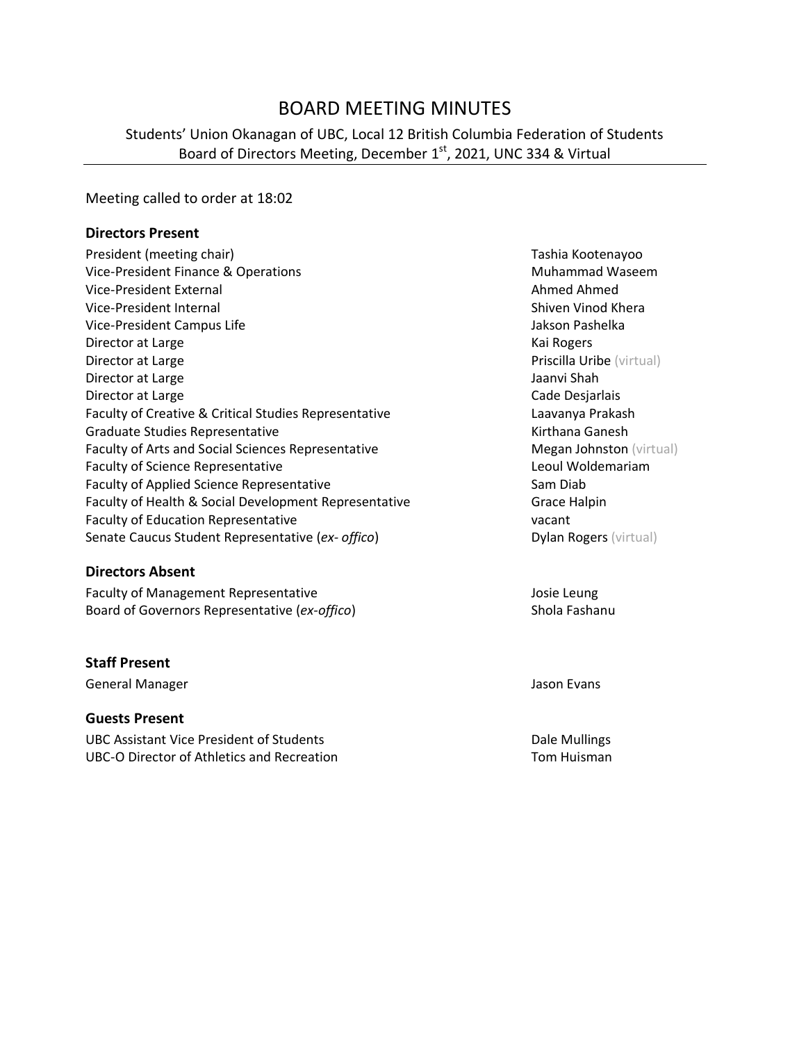# BOARD MEETING MINUTES

## Students' Union Okanagan of UBC, Local 12 British Columbia Federation of Students Board of Directors Meeting, December 1<sup>st</sup>, 2021, UNC 334 & Virtual

#### Meeting called to order at 18:02

#### **Directors Present**

| President (meeting chair)                             | Tashia Kootenayoo             |
|-------------------------------------------------------|-------------------------------|
| Vice-President Finance & Operations                   | Muhammad Waseem               |
| Vice-President External                               | Ahmed Ahmed                   |
| Vice-President Internal                               | Shiven Vinod Khera            |
| Vice-President Campus Life                            | Jakson Pashelka               |
| Director at Large                                     | Kai Rogers                    |
| Director at Large                                     | Priscilla Uribe (virtual)     |
| Director at Large                                     | Jaanvi Shah                   |
| Director at Large                                     | Cade Desjarlais               |
| Faculty of Creative & Critical Studies Representative | Laavanya Prakash              |
| <b>Graduate Studies Representative</b>                | Kirthana Ganesh               |
| Faculty of Arts and Social Sciences Representative    | Megan Johnston (virtu         |
| <b>Faculty of Science Representative</b>              | Leoul Woldemariam             |
| Faculty of Applied Science Representative             | Sam Diab                      |
| Faculty of Health & Social Development Representative | <b>Grace Halpin</b>           |
| <b>Faculty of Education Representative</b>            | vacant                        |
| Senate Caucus Student Representative (ex- offico)     | <b>Dylan Rogers (virtual)</b> |
|                                                       |                               |

#### **Directors Absent**

Faculty of Management Representative and the Management Representative and the Management Representative Board of Governors Representative (*ex-offico*) Shola Fashanu

#### **Staff Present**

General Manager **Jason Evans** Jason Evans

#### **Guests Present**

UBC Assistant Vice President of Students **Dale Mullings** Dale Mullings UBC-O Director of Athletics and Recreation Tom Tom Huisman

Tashia Kootenayoo **Muhammad Waseem** Ahmed Ahmed Shiven Vinod Khera Jakson Pashelka Kai Rogers Priscilla Uribe (virtual) Jaanvi Shah Cade Desjarlais Laavanya Prakash Kirthana Ganesh Megan Johnston (virtual) Leoul Woldemariam e Faculty of Grace Halpin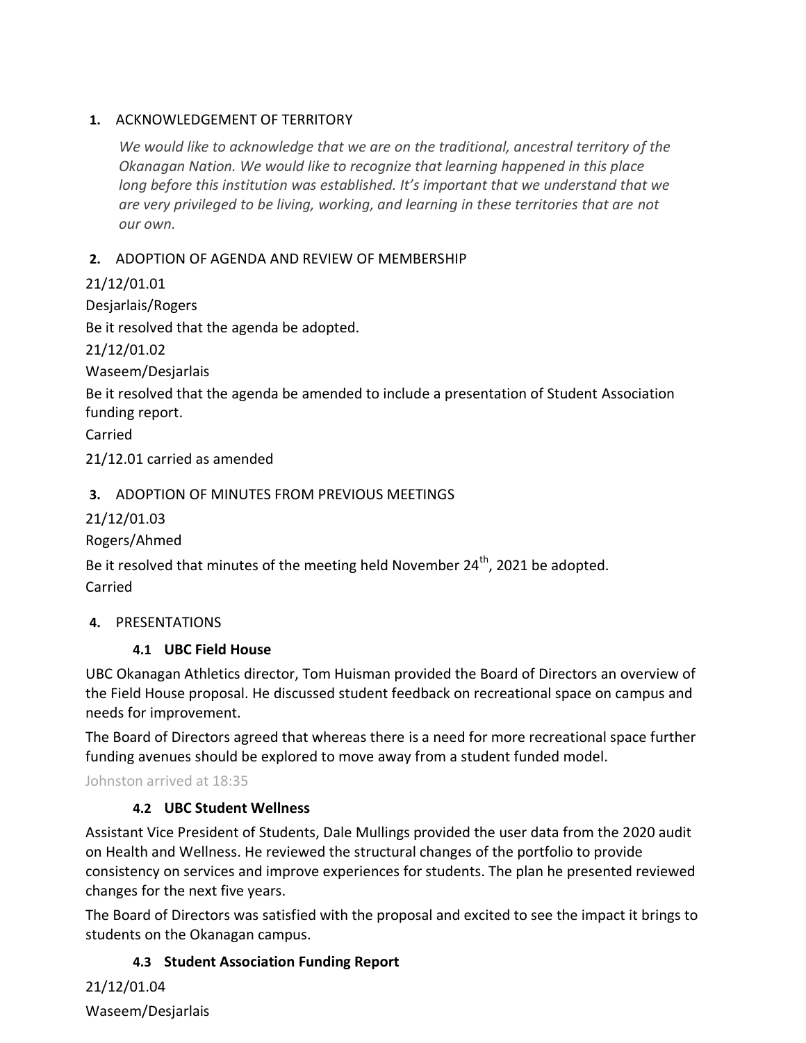### **1.** ACKNOWLEDGEMENT OF TERRITORY

*We would like to acknowledge that we are on the traditional, ancestral territory of the Okanagan Nation. We would like to recognize that learning happened in this place long before this institution was established. It's important that we understand that we are very privileged to be living, working, and learning in these territories that are not our own.*

## **2.** ADOPTION OF AGENDA AND REVIEW OF MEMBERSHIP

21/12/01.01

Desjarlais/Rogers

Be it resolved that the agenda be adopted.

21/12/01.02

Waseem/Desjarlais

Be it resolved that the agenda be amended to include a presentation of Student Association funding report.

Carried

21/12.01 carried as amended

## **3.** ADOPTION OF MINUTES FROM PREVIOUS MEETINGS

21/12/01.03

Rogers/Ahmed

Be it resolved that minutes of the meeting held November 24<sup>th</sup>, 2021 be adopted. Carried

### **4.** PRESENTATIONS

### **4.1 UBC Field House**

UBC Okanagan Athletics director, Tom Huisman provided the Board of Directors an overview of the Field House proposal. He discussed student feedback on recreational space on campus and needs for improvement.

The Board of Directors agreed that whereas there is a need for more recreational space further funding avenues should be explored to move away from a student funded model.

Johnston arrived at 18:35

### **4.2 UBC Student Wellness**

Assistant Vice President of Students, Dale Mullings provided the user data from the 2020 audit on Health and Wellness. He reviewed the structural changes of the portfolio to provide consistency on services and improve experiences for students. The plan he presented reviewed changes for the next five years.

The Board of Directors was satisfied with the proposal and excited to see the impact it brings to students on the Okanagan campus.

### **4.3 Student Association Funding Report**

21/12/01.04 Waseem/Desjarlais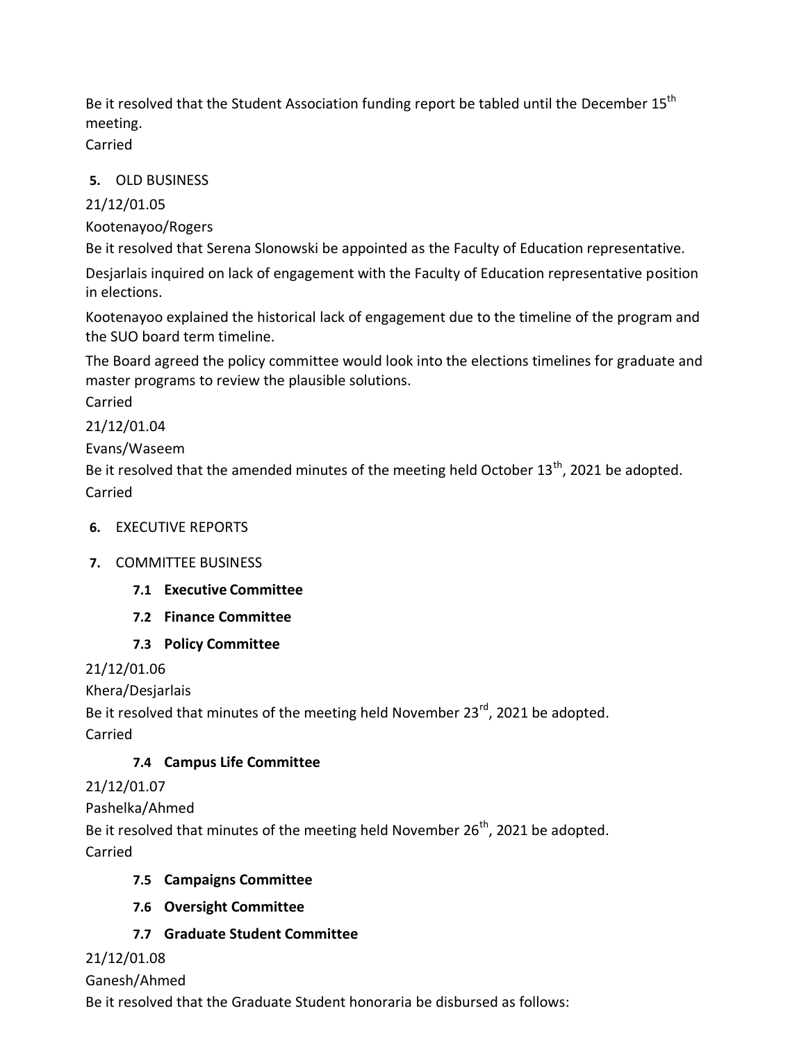Be it resolved that the Student Association funding report be tabled until the December  $15^{th}$ meeting.

Carried

## **5.** OLD BUSINESS

21/12/01.05

Kootenayoo/Rogers

Be it resolved that Serena Slonowski be appointed as the Faculty of Education representative.

Desjarlais inquired on lack of engagement with the Faculty of Education representative position in elections.

Kootenayoo explained the historical lack of engagement due to the timeline of the program and the SUO board term timeline.

The Board agreed the policy committee would look into the elections timelines for graduate and master programs to review the plausible solutions.

Carried

21/12/01.04

Evans/Waseem

Be it resolved that the amended minutes of the meeting held October  $13<sup>th</sup>$ , 2021 be adopted. Carried

**6.** EXECUTIVE REPORTS

# **7.** COMMITTEE BUSINESS

# **7.1 Executive Committee**

- **7.2 Finance Committee**
- **7.3 Policy Committee**

21/12/01.06

Khera/Desjarlais

Be it resolved that minutes of the meeting held November 23<sup>rd</sup>, 2021 be adopted. Carried

# **7.4 Campus Life Committee**

# 21/12/01.07

Pashelka/Ahmed

Be it resolved that minutes of the meeting held November 26<sup>th</sup>, 2021 be adopted. Carried

# **7.5 Campaigns Committee**

**7.6 Oversight Committee**

# **7.7 Graduate Student Committee**

21/12/01.08

# Ganesh/Ahmed

Be it resolved that the Graduate Student honoraria be disbursed as follows: